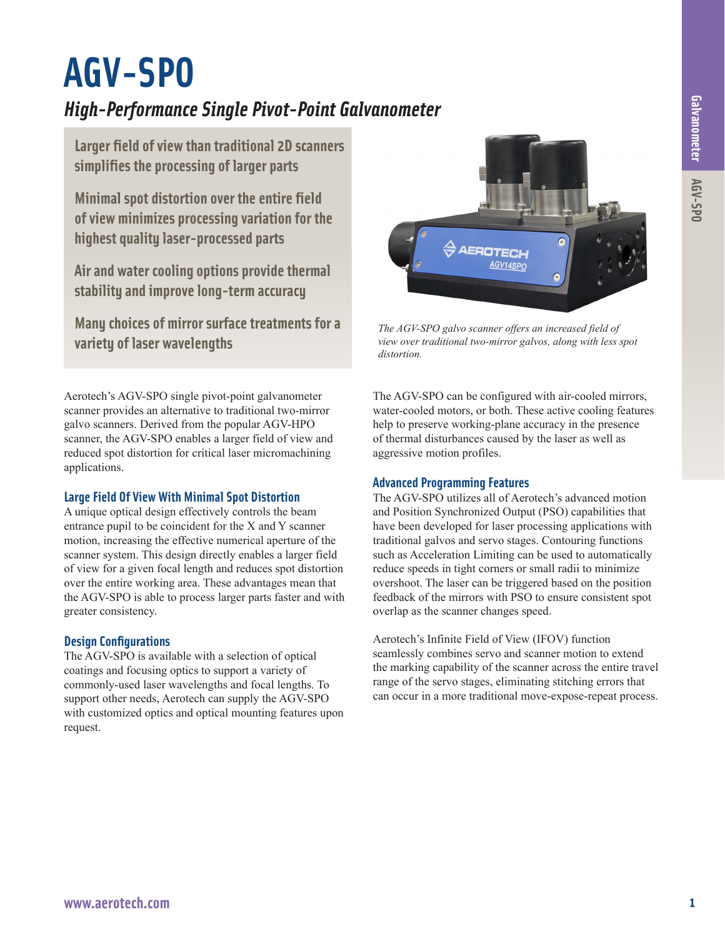# **AGV-SPO**

# *High-Performance Single Pivot-Point Galvanometer*

**Larger field of view than traditional 2D scanners simplifies the processing of larger parts**

**Minimal spot distortion over the entire field of view minimizes processing variation for the highest quality laser-processed parts**

**Air and water cooling options provide thermal stability and improve long-term accuracy**

**Many choices of mirror surface treatments for a variety of laser wavelengths**

Aerotech's AGV-SPO single pivot-point galvanometer scanner provides an alternative to traditional two-mirror galvo scanners. Derived from the popular AGV-HPO scanner, the AGV-SPO enables a larger field of view and reduced spot distortion for critical laser micromachining applications.

## **Large Field Of View With Minimal Spot Distortion**

A unique optical design effectively controls the beam entrance pupil to be coincident for the X and Y scanner motion, increasing the effective numerical aperture of the scanner system. This design directly enables a larger field of view for a given focal length and reduces spot distortion over the entire working area. These advantages mean that the AGV-SPO is able to process larger parts faster and with greater consistency.

#### **Design Configurations**

The AGV-SPO is available with a selection of optical coatings and focusing optics to support a variety of commonly-used laser wavelengths and focal lengths. To support other needs, Aerotech can supply the AGV-SPO with customized optics and optical mounting features upon request.



*The AGV-SPO galvo scanner offers an increased field of view over traditional two-mirror galvos, along with less spot distortion.*

The AGV-SPO can be configured with air-cooled mirrors, water-cooled motors, or both. These active cooling features help to preserve working-plane accuracy in the presence of thermal disturbances caused by the laser as well as aggressive motion profiles.

#### **Advanced Programming Features**

The AGV-SPO utilizes all of Aerotech's advanced motion and Position Synchronized Output (PSO) capabilities that have been developed for laser processing applications with traditional galvos and servo stages. Contouring functions such as Acceleration Limiting can be used to automatically reduce speeds in tight corners or small radii to minimize overshoot. The laser can be triggered based on the position feedback of the mirrors with PSO to ensure consistent spot overlap as the scanner changes speed.

Aerotech's Infinite Field of View (IFOV) function seamlessly combines servo and scanner motion to extend the marking capability of the scanner across the entire travel range of the servo stages, eliminating stitching errors that can occur in a more traditional move-expose-repeat process.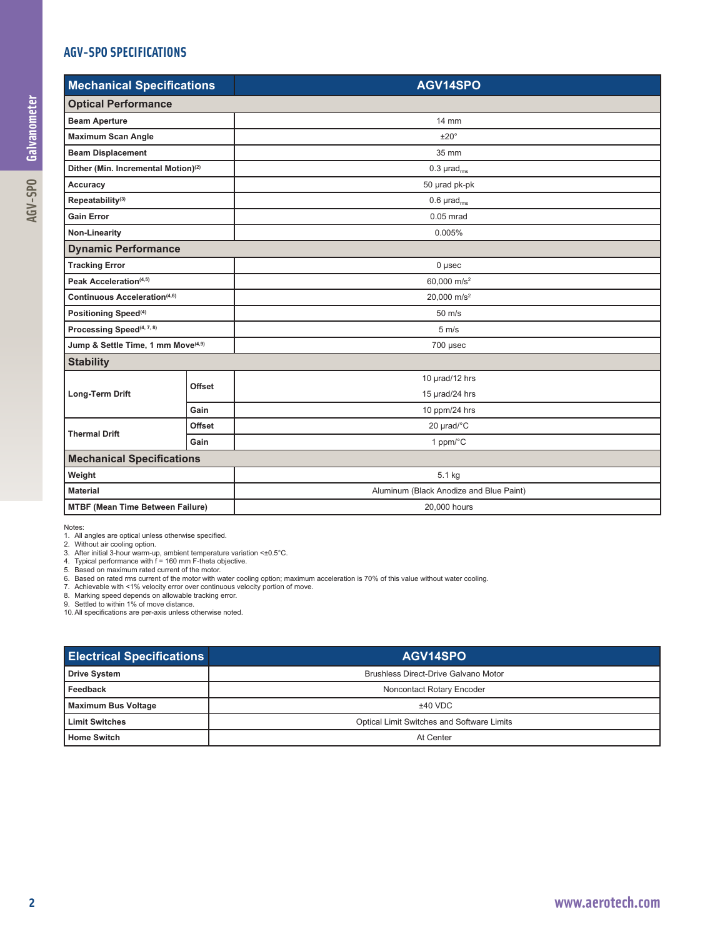## **AGV-SPO SPECIFICATIONS**

| <b>Mechanical Specifications</b>                |               | AGV14SPO                                |
|-------------------------------------------------|---------------|-----------------------------------------|
| <b>Optical Performance</b>                      |               |                                         |
| <b>Beam Aperture</b>                            |               | 14 mm                                   |
| <b>Maximum Scan Angle</b>                       |               | ±20°                                    |
| <b>Beam Displacement</b>                        |               | 35 mm                                   |
| Dither (Min. Incremental Motion) <sup>(2)</sup> |               | $0.3 \mu rad_{rms}$                     |
| Accuracy                                        |               | 50 µrad pk-pk                           |
| Repeatability <sup>(3)</sup>                    |               | $0.6 \ \mu rad_{rms}$                   |
| <b>Gain Error</b>                               |               | $0.05$ mrad                             |
| Non-Linearity                                   |               | 0.005%                                  |
| <b>Dynamic Performance</b>                      |               |                                         |
| <b>Tracking Error</b>                           |               | $0$ µsec                                |
| Peak Acceleration(4,5)                          |               | 60,000 m/s <sup>2</sup>                 |
| Continuous Acceleration(4,6)                    |               | 20,000 m/s <sup>2</sup>                 |
| Positioning Speed <sup>(4)</sup>                |               | $50 \text{ m/s}$                        |
| Processing Speed <sup>(4, 7, 8)</sup>           |               | $5 \text{ m/s}$                         |
| Jump & Settle Time, 1 mm Move <sup>(4,9)</sup>  |               | 700 µsec                                |
| <b>Stability</b>                                |               |                                         |
| Long-Term Drift                                 | <b>Offset</b> | 10 µrad/12 hrs                          |
|                                                 |               | 15 µrad/24 hrs                          |
|                                                 | Gain          | 10 ppm/24 hrs                           |
| <b>Thermal Drift</b>                            | Offset        | 20 µrad/°C                              |
|                                                 | Gain          | 1 ppm/°C                                |
| <b>Mechanical Specifications</b>                |               |                                         |
| Weight                                          |               | 5.1 kg                                  |
| <b>Material</b>                                 |               | Aluminum (Black Anodize and Blue Paint) |
| <b>MTBF (Mean Time Between Failure)</b>         |               | 20,000 hours                            |

Notes:

1. All angles are optical unless otherwise specified.<br>2. Without air cooling option.<br>3. After initial 3-hour warm-up, ambient temperature variation <±0.5°C.<br>4. Typical performance with f = 160 mm F-theta objective.<br>5. Base

8. Marking speed depends on allowable tracking error. 9. Settled to within 1% of move distance. 10.All specifications are per-axis unless otherwise noted.

| <b>Electrical Specifications</b> | AGV14SPO                                   |
|----------------------------------|--------------------------------------------|
| <b>Drive System</b>              | Brushless Direct-Drive Galvano Motor       |
| Feedback                         | Noncontact Rotary Encoder                  |
| Maximum Bus Voltage              | $±40$ VDC                                  |
| <b>Limit Switches</b>            | Optical Limit Switches and Software Limits |
| <b>Home Switch</b>               | At Center                                  |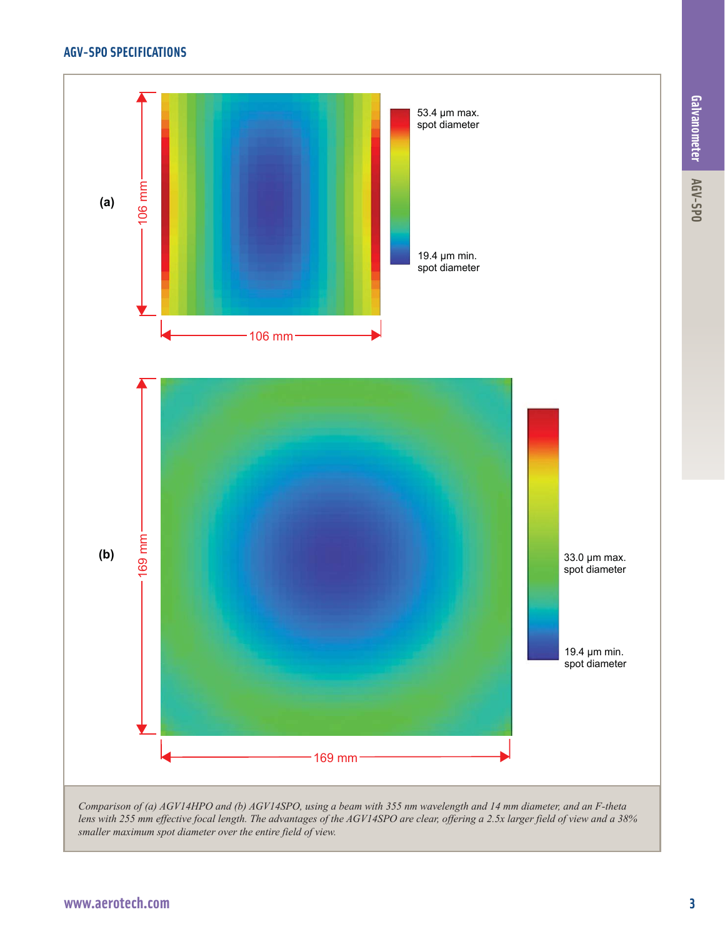# **AGV-SPO SPECIFICATIONS**

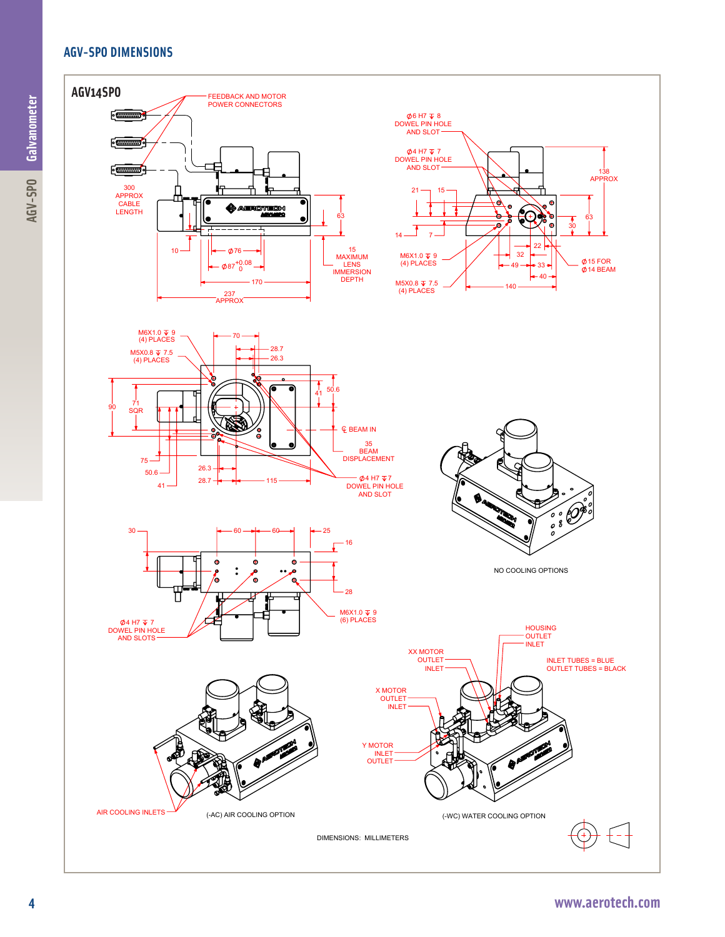# **AGV-SPO DIMENSIONS**